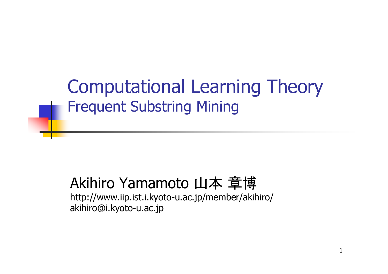Computational Learning Theory Frequent Substring Mining

#### Akihiro Yamamoto 山本 章博

http://www.iip.ist.i.kyoto-u.ac.jp/member/akihiro/ akihiro@i.kyoto-u.ac.jp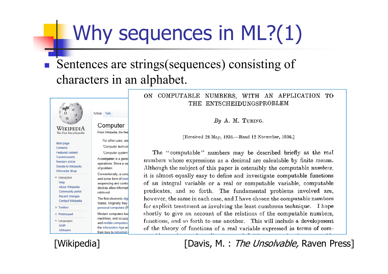## Why sequences in ML?(1)

#### F Sentences are strings(sequences) consisting of characters in an alphabet.



#### COMPUTABLE NUMBERS, WITH AN APPLICATION TO  $ON$ THE ENTSCHEIDUNGSPROBLEM

By A. M. TURING.

[Received 28 May, 1936.-Read 12 November, 1936.]

The "computable" numbers may be described briefly as the real numbers whose expressions as a decimal are calculable by finite means. Although the subject of this paper is ostensibly the computable *numbers*. it is almost equally easy to define and investigate computable functions of an integral variable or a real or computable variable, computable predicates, and so forth. The fundamental problems involved are, however, the same in each case, and I have chosen the computable numbers for explicit treatment as involving the least cumbrous technique. I hope shortly to give an account of the relations of the computable numbers, functions, and so forth to one another. This will include a development of the theory of functions of a real variable expressed in terms of com-

[Wikipedia] [Davis, M. : The Unsolvable, Raven Press]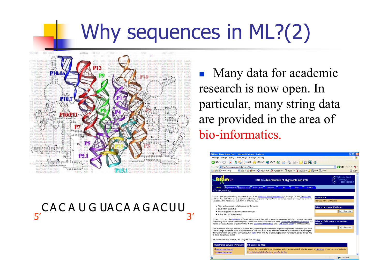## Why sequences in ML?(2)



#### CACAUGUACAAGACUU  $5'$  3'

F. Many data for academic research is now open. In particular, many string data are provided in the area of bio-informatics.

| Riam: Riam Home Page - Microsoft Internet Explorer                                                                                                                                                                                                                                                                                                                                                                                                 |                                                                                                                                                                                                                                                        |                                              |
|----------------------------------------------------------------------------------------------------------------------------------------------------------------------------------------------------------------------------------------------------------------------------------------------------------------------------------------------------------------------------------------------------------------------------------------------------|--------------------------------------------------------------------------------------------------------------------------------------------------------------------------------------------------------------------------------------------------------|----------------------------------------------|
| ファイル(F)<br>編集(E)                                                                                                                                                                                                                                                                                                                                                                                                                                   | 表示への お気に入り(A) ツール(T) ヘルブ(H)                                                                                                                                                                                                                            |                                              |
| 戻る -                                                                                                                                                                                                                                                                                                                                                                                                                                               | ◎国国伯○陈大概2009年10日图卷回 ■国徽图卷                                                                                                                                                                                                                              |                                              |
| アドレス(D) 2 http://www.sanger.ac.uk/Software/Rfam/                                                                                                                                                                                                                                                                                                                                                                                                   |                                                                                                                                                                                                                                                        | ▼ 日移動                                        |
|                                                                                                                                                                                                                                                                                                                                                                                                                                                    | Google G + RNA family v 検索 6 番 - ☆ フッワマーク 図 フロック数 21 等 チェック → 次に送信 → タ 回 RNA 回 family                                                                                                                                                                  | □ 投定・                                        |
|                                                                                                                                                                                                                                                                                                                                                                                                                                                    | RNA families database of alignments and CMs                                                                                                                                                                                                            | <b>Wellcome Trust</b><br>Sanger<br>Institute |
| Home<br>Rfam Home Page                                                                                                                                                                                                                                                                                                                                                                                                                             | Keyword Search Sequence Search Browse Rfam Cenomes<br><b>miRNA</b><br>ftp<br>Help                                                                                                                                                                      |                                              |
| non-coding RNA families. For each family in Rfam you can:                                                                                                                                                                                                                                                                                                                                                                                          | Rfam is a joint project involving researchers based at the Wellcome Trust Sanger Institute, Cambridge, UK and Janelia Farm,<br>Ashburn, VA, USA, Rfam is a large collection of multiple sequence algoreents and covariance models covering many common | Version 8.0<br>February 2007, 574 families   |
| . View and download multiple sequence alignments                                                                                                                                                                                                                                                                                                                                                                                                   |                                                                                                                                                                                                                                                        | Enter your keyword(s) here                   |
| · Read family annotation                                                                                                                                                                                                                                                                                                                                                                                                                           |                                                                                                                                                                                                                                                        |                                              |
| Go Example<br>. Examine species distribution of family members                                                                                                                                                                                                                                                                                                                                                                                     |                                                                                                                                                                                                                                                        |                                              |
| . Follow links to otherdatabases                                                                                                                                                                                                                                                                                                                                                                                                                   |                                                                                                                                                                                                                                                        |                                              |
| In conjunction with the INFERNAL software suite, Rfam can be used to annotate sequences (including complete genomes)<br><b>Enter an EMBL name or accession</b><br>for homologues to known non-coding RNAs. Please read important information about using Rfam for genome annotation. We<br>provide pre-calculated lists of putative RNAs in over 200 complete genomes, and a web search facility for short sequences.<br>number                    |                                                                                                                                                                                                                                                        |                                              |
| Example<br>Gal<br>Rfam makes use of a large amount of available data, especially published multiple sequence alignments, and repackages these<br>data in a sindle searchable and sustainable resource. We have made every effort to credit individual sources on family pages.<br>and have compiled a list of links to these sources here. If you find any of the data presented here useful, please also be sure<br>to credit the primary source. |                                                                                                                                                                                                                                                        |                                              |
| For more information on Rfam, and using this site, click here.                                                                                                                                                                                                                                                                                                                                                                                     |                                                                                                                                                                                                                                                        |                                              |
| <b>Rfam Mirror Servers Worldwide</b>                                                                                                                                                                                                                                                                                                                                                                                                               | FTP access to Rfam                                                                                                                                                                                                                                     |                                              |
| <b>El Sanger Institute (UK)</b>                                                                                                                                                                                                                                                                                                                                                                                                                    | You can also download the Rfam database and for instance search it locally using the INFERNAL covariance model software.                                                                                                                               |                                              |
| <b>El Janelia Farm (USA)</b>                                                                                                                                                                                                                                                                                                                                                                                                                       | Hyperlink directly to the ftp site or View ftp site files.                                                                                                                                                                                             |                                              |
|                                                                                                                                                                                                                                                                                                                                                                                                                                                    |                                                                                                                                                                                                                                                        |                                              |
|                                                                                                                                                                                                                                                                                                                                                                                                                                                    |                                                                                                                                                                                                                                                        | ● インターネット                                    |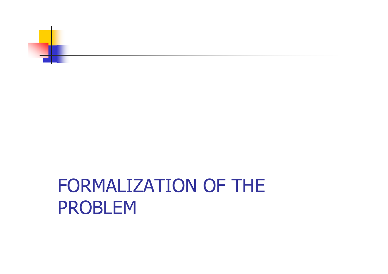

#### FORMALIZATION OF THE PROBLEM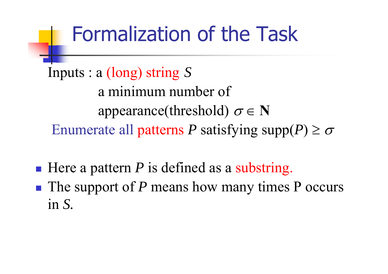#### Formalization of the Task

Inputs : <sup>a</sup> (long) string *S* a minimum number of appearance(threshold)  $\sigma \in \mathbf{N}$ Enumerate all patterns P satisfying supp $(P) \ge \sigma$ 

- $\frac{1}{2}$ ■ Here a pattern *P* is defined as a substring.
- $\frac{1}{2}$ ■ The support of *P* means how many times P occurs in *S.*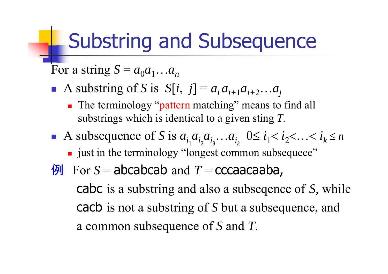#### Substring and Subsequence

For a string  $S = a_0 a_1 ... a_n$ 

- A substring of *S* is  $S[i, j] = a_i a_{i+1} a_{i+2} ...$  $a_j^{}$ 
	- **The terminology "pattern matching" means to find all** substrings which is identical to a given sting *T*.
- A subsequence of *S* is  $a_{i_1}a_{i_2}a_{i_3}$ …  $a_{i_k}$   $0 \le i_1 < i_2$  … *i k*  $\leq n$ 
	- **If** just in the terminology "longest common subsequece"
- $\bigotimes$  For S = abcabcab and T = cccaacaaba,

cabc is a substring and also a subseqence of *S,* while cacb is not a substring of *S* but a subsequence, and <sup>a</sup> common subsequence of *S* and *T*.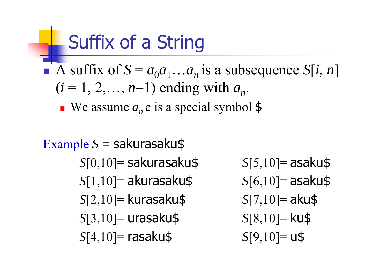#### Suffix of a String

- A suffix of  $S = a_0 a_1 ... a_n$  is a subsequence  $S[i, n]$  $(i = 1, 2, \ldots, n-1)$  ending with  $a_n$ .
	- We assume  $a_n$  e is a special symbol  $\frac{1}{2}$
- Example *S =* sakurasaku\$ *<sup>S</sup>*[0,10]= sakurasaku\$ *<sup>S</sup>*[1,10]= akurasaku\$ *<sup>S</sup>*[2,10]= kurasaku\$ *<sup>S</sup>*[3,10]= urasaku\$ *<sup>S</sup>*[4,10]= rasaku\$
- *<sup>S</sup>*[5,10]= asaku\$ *<sup>S</sup>*[6,10]= asaku\$ *<sup>S</sup>*[7,10]= aku\$
- *<sup>S</sup>*[8,10]= ku\$ *S*[9,10]= u\$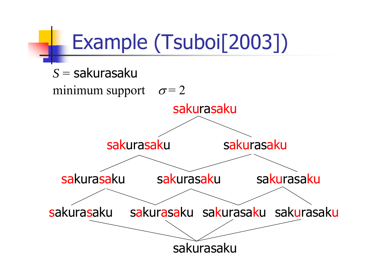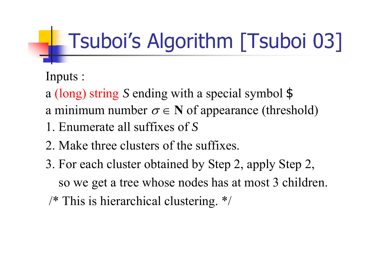# Tsuboi's Algorithm [Tsuboi 03]

Inputs :

- a (long) string *S* ending with a special symbol \$
- a minimum number  $\sigma \in N$  of appearance (threshold)
- 1. Enumerate all suffixes of *S*
- 2. Make three clusters of the suffixes.
- 3. For each cluster obtained by Step 2, apply Step 2,
	- so we get a tree whose nodes has at most 3 children.
- /\* This is hierarchical clustering. \*/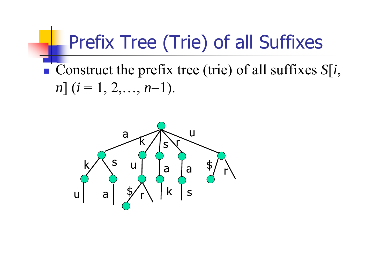#### Prefix Tree (Trie) of all Suffixes

• Construct the prefix tree (trie) of all suffixes  $S[i, \cdot]$  $n$ ]  $(i = 1, 2, \ldots, n-1)$ .

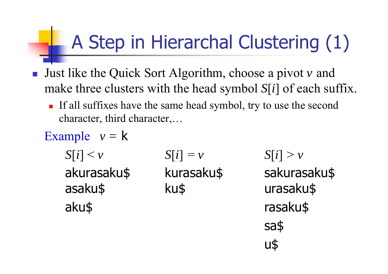### A Step in Hierarchal Clustering (1)

- Just like the Quick Sort Algorithm, choose a pivot  $v$  and  $\begin{array}{c} \begin{array}{c} \begin{array}{c} \end{array} \end{array}$ make three clusters with the head symbol  $S[i]$  of each suffix.
	- If all suffixes have the same head symbol, try to use the second character, third character,...
	- Example  $v = k$  $S[i] < v$  $S[i] = v$ akurasaku\$ kurasaku\$ asaku\$ ku\$ aku\$

 $S[i] > v$ sakurasaku\$ urasaku\$ rasaku\$ sa\$  $U\$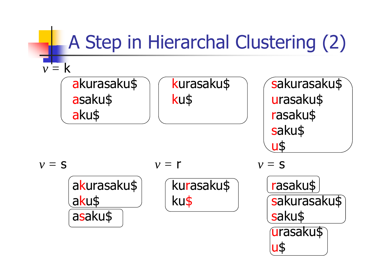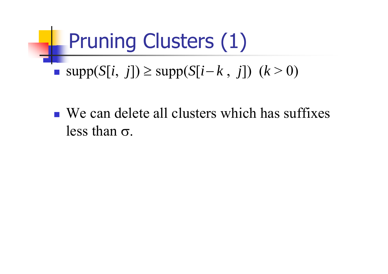### Pruning Clusters (1)

- $\blacksquare$  supp( $S[i, j]) \geq$  supp( $S[i-]$  $(k > 0)$  (*k* > 0)
- We can delete all clusters which has suffixes less than  $\sigma$ .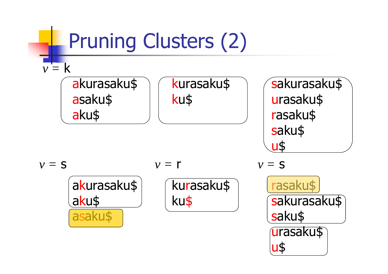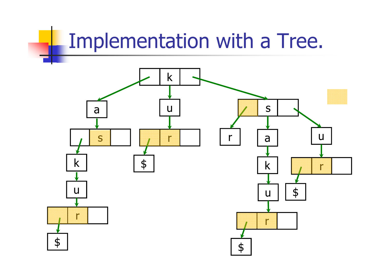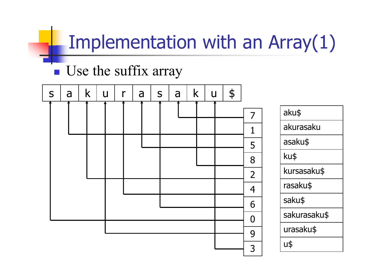#### Implementation with an Array(1)

#### **Use the suffix array**



| aku\$        |
|--------------|
| akurasaku    |
| asaku\$      |
| ku\$         |
| kursasaku\$  |
| rasaku\$     |
| saku\$       |
| sakurasaku\$ |
| urasaku\$    |
| U\$          |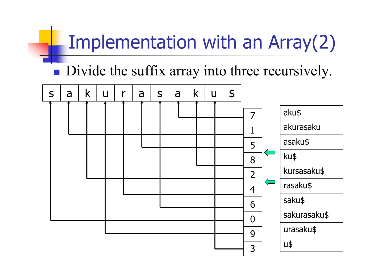#### Implementation with an Array(2)

• Divide the suffix array into three recursively.